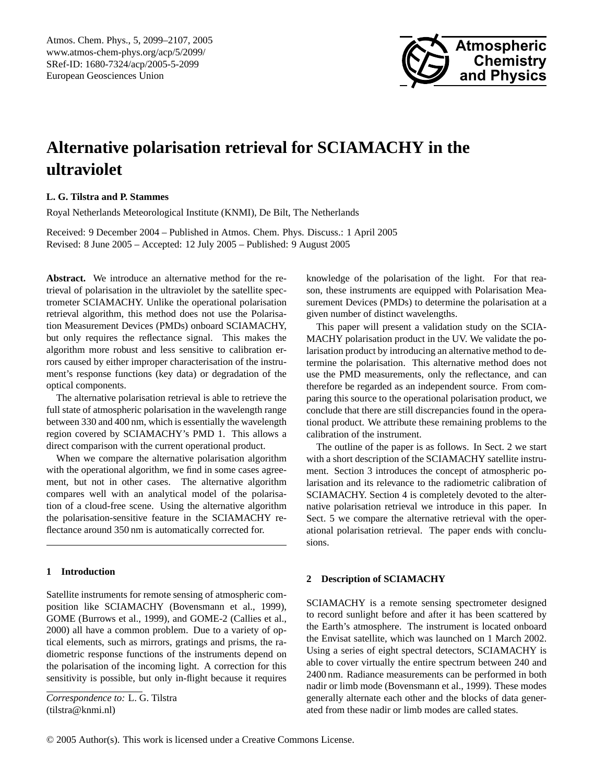

# **Alternative polarisation retrieval for SCIAMACHY in the ultraviolet**

# **L. G. Tilstra and P. Stammes**

Royal Netherlands Meteorological Institute (KNMI), De Bilt, The Netherlands

Received: 9 December 2004 – Published in Atmos. Chem. Phys. Discuss.: 1 April 2005 Revised: 8 June 2005 – Accepted: 12 July 2005 – Published: 9 August 2005

**Abstract.** We introduce an alternative method for the retrieval of polarisation in the ultraviolet by the satellite spectrometer SCIAMACHY. Unlike the operational polarisation retrieval algorithm, this method does not use the Polarisation Measurement Devices (PMDs) onboard SCIAMACHY, but only requires the reflectance signal. This makes the algorithm more robust and less sensitive to calibration errors caused by either improper characterisation of the instrument's response functions (key data) or degradation of the optical components.

The alternative polarisation retrieval is able to retrieve the full state of atmospheric polarisation in the wavelength range between 330 and 400 nm, which is essentially the wavelength region covered by SCIAMACHY's PMD 1. This allows a direct comparison with the current operational product.

When we compare the alternative polarisation algorithm with the operational algorithm, we find in some cases agreement, but not in other cases. The alternative algorithm compares well with an analytical model of the polarisation of a cloud-free scene. Using the alternative algorithm the polarisation-sensitive feature in the SCIAMACHY reflectance around 350 nm is automatically corrected for.

## **1 Introduction**

Satellite instruments for remote sensing of atmospheric composition like SCIAMACHY [\(Bovensmann et al.,](#page-7-0) [1999\)](#page-7-0), GOME [\(Burrows et al.,](#page-7-1) [1999\)](#page-7-1), and GOME-2 [\(Callies et al.,](#page-7-2) [2000\)](#page-7-2) all have a common problem. Due to a variety of optical elements, such as mirrors, gratings and prisms, the radiometric response functions of the instruments depend on the polarisation of the incoming light. A correction for this sensitivity is possible, but only in-flight because it requires

<span id="page-0-0"></span>*Correspondence to:* L. G. Tilstra (tilstra@knmi.nl)

knowledge of the polarisation of the light. For that reason, these instruments are equipped with Polarisation Measurement Devices (PMDs) to determine the polarisation at a given number of distinct wavelengths.

This paper will present a validation study on the SCIA-MACHY polarisation product in the UV. We validate the polarisation product by introducing an alternative method to determine the polarisation. This alternative method does not use the PMD measurements, only the reflectance, and can therefore be regarded as an independent source. From comparing this source to the operational polarisation product, we conclude that there are still discrepancies found in the operational product. We attribute these remaining problems to the calibration of the instrument.

The outline of the paper is as follows. In Sect. [2](#page-0-1) we start with a short description of the SCIAMACHY satellite instrument. Section [3](#page-2-0) introduces the concept of atmospheric polarisation and its relevance to the radiometric calibration of SCIAMACHY. Section [4](#page-3-0) is completely devoted to the alternative polarisation retrieval we introduce in this paper. In Sect. [5](#page-5-0) we compare the alternative retrieval with the operational polarisation retrieval. The paper ends with conclusions.

## <span id="page-0-1"></span>**2 Description of SCIAMACHY**

SCIAMACHY is a remote sensing spectrometer designed to record sunlight before and after it has been scattered by the Earth's atmosphere. The instrument is located onboard the Envisat satellite, which was launched on 1 March 2002. Using a series of eight spectral detectors, SCIAMACHY is able to cover virtually the entire spectrum between 240 and 2400 nm. Radiance measurements can be performed in both nadir or limb mode [\(Bovensmann et al.,](#page-7-0) [1999\)](#page-7-0). These modes generally alternate each other and the blocks of data generated from these nadir or limb modes are called states.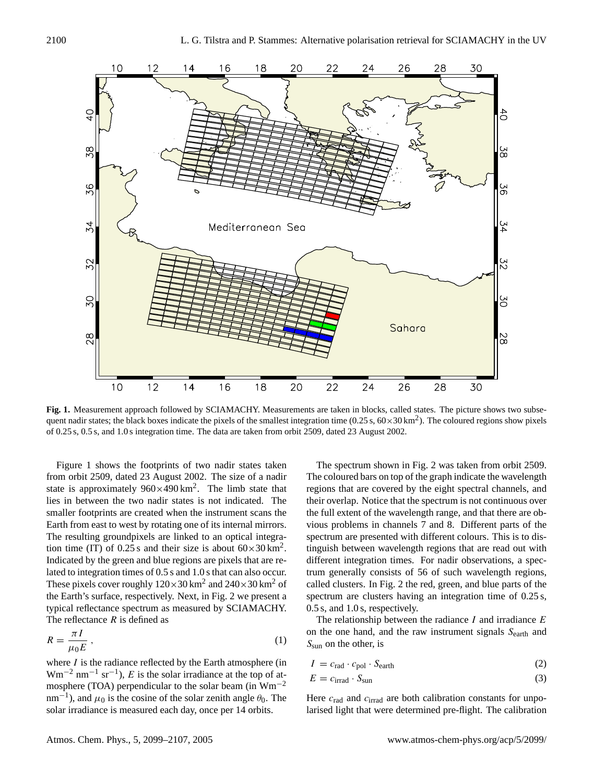

<span id="page-1-0"></span>**Fig. 1.** Measurement approach followed by SCIAMACHY. Measurements are taken in blocks, called states. The picture shows two subsequent nadir states; the black boxes indicate the pixels of the smallest integration time (0.25 s,  $60 \times 30 \text{ km}^2$ ). The coloured regions show pixels of 0.25 s, 0.5 s, and 1.0 s integration time. The data are taken from orbit 2509, dated 23 August 2002.

Figure [1](#page-1-0) shows the footprints of two nadir states taken from orbit 2509, dated 23 August 2002. The size of a nadir state is approximately  $960 \times 490 \text{ km}^2$ . The limb state that lies in between the two nadir states is not indicated. The smaller footprints are created when the instrument scans the Earth from east to west by rotating one of its internal mirrors. The resulting groundpixels are linked to an optical integration time (IT) of 0.25 s and their size is about  $60 \times 30$  km<sup>2</sup>. Indicated by the green and blue regions are pixels that are related to integration times of 0.5 s and 1.0 s that can also occur. These pixels cover roughly  $120 \times 30$  km<sup>2</sup> and  $240 \times 30$  km<sup>2</sup> of the Earth's surface, respectively. Next, in Fig. [2](#page-2-1) we present a typical reflectance spectrum as measured by SCIAMACHY. The reflectance  $R$  is defined as

$$
R = \frac{\pi I}{\mu_0 E} \,,\tag{1}
$$

where  $I$  is the radiance reflected by the Earth atmosphere (in Wm<sup>-2</sup> nm<sup>-1</sup> sr<sup>-1</sup>), E is the solar irradiance at the top of atmosphere (TOA) perpendicular to the solar beam (in  $Wm^{-2}$  $nm^{-1}$ ), and  $\mu_0$  is the cosine of the solar zenith angle  $\theta_0$ . The solar irradiance is measured each day, once per 14 orbits.

The spectrum shown in Fig. [2](#page-2-1) was taken from orbit 2509. The coloured bars on top of the graph indicate the wavelength regions that are covered by the eight spectral channels, and their overlap. Notice that the spectrum is not continuous over the full extent of the wavelength range, and that there are obvious problems in channels 7 and 8. Different parts of the spectrum are presented with different colours. This is to distinguish between wavelength regions that are read out with different integration times. For nadir observations, a spectrum generally consists of 56 of such wavelength regions, called clusters. In Fig. [2](#page-2-1) the red, green, and blue parts of the spectrum are clusters having an integration time of 0.25 s, 0.5 s, and 1.0 s, respectively.

The relationship between the radiance  $I$  and irradiance  $E$ on the one hand, and the raw instrument signals  $S<sub>earth</sub>$  and  $S_{\rm sun}$  on the other, is

$$
I = c_{\text{rad}} \cdot c_{\text{pol}} \cdot S_{\text{earth}} \tag{2}
$$

$$
E = c_{\text{irrad}} \cdot S_{\text{sun}} \tag{3}
$$

Here  $c_{\text{rad}}$  and  $c_{\text{irrad}}$  are both calibration constants for unpolarised light that were determined pre-flight. The calibration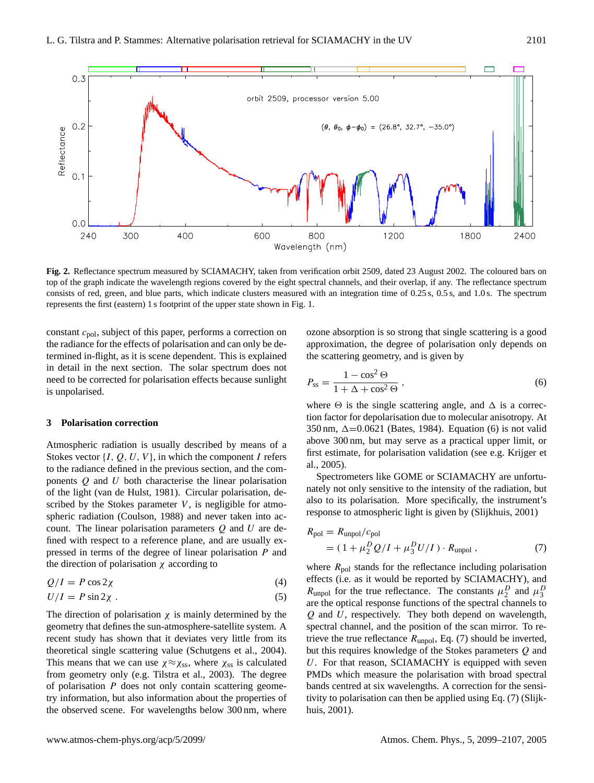

<span id="page-2-1"></span>**Fig. 2.** Reflectance spectrum measured by SCIAMACHY, taken from verification orbit 2509, dated 23 August 2002. The coloured bars on top of the graph indicate the wavelength regions covered by the eight spectral channels, and their overlap, if any. The reflectance spectrum consists of red, green, and blue parts, which indicate clusters measured with an integration time of 0.25 s, 0.5 s, and 1.0 s. The spectrum represents the first (eastern) 1 s footprint of the upper state shown in Fig. [1.](#page-1-0)

constant  $c_{pol}$ , subject of this paper, performs a correction on the radiance for the effects of polarisation and can only be determined in-flight, as it is scene dependent. This is explained in detail in the next section. The solar spectrum does not need to be corrected for polarisation effects because sunlight is unpolarised.

#### <span id="page-2-0"></span>**3 Polarisation correction**

Atmospheric radiation is usually described by means of a Stokes vector  $\{I, Q, U, V\}$ , in which the component I refers to the radiance defined in the previous section, and the components  $Q$  and  $U$  both characterise the linear polarisation of the light [\(van de Hulst,](#page-8-0) [1981\)](#page-8-0). Circular polarisation, described by the Stokes parameter  $V$ , is negligible for atmospheric radiation [\(Coulson,](#page-7-3) [1988\)](#page-7-3) and never taken into account. The linear polarisation parameters  $Q$  and  $U$  are defined with respect to a reference plane, and are usually expressed in terms of the degree of linear polarisation P and the direction of polarisation  $\chi$  according to

$$
Q/I = P \cos 2\chi \tag{4}
$$

<span id="page-2-4"></span>
$$
U/I = P\sin 2\chi \tag{5}
$$

The direction of polarisation  $\chi$  is mainly determined by the geometry that defines the sun-atmosphere-satellite system. A recent study has shown that it deviates very little from its theoretical single scattering value [\(Schutgens et al.,](#page-8-1) [2004\)](#page-8-1). This means that we can use  $\chi \approx \chi_{ss}$ , where  $\chi_{ss}$  is calculated from geometry only (e.g. [Tilstra et al.,](#page-8-2) [2003\)](#page-8-2). The degree of polarisation P does not only contain scattering geometry information, but also information about the properties of the observed scene. For wavelengths below 300 nm, where ozone absorption is so strong that single scattering is a good approximation, the degree of polarisation only depends on the scattering geometry, and is given by

<span id="page-2-2"></span>
$$
P_{\rm ss} = \frac{1 - \cos^2 \Theta}{1 + \Delta + \cos^2 \Theta} \,,\tag{6}
$$

where  $\Theta$  is the single scattering angle, and  $\Delta$  is a correction factor for depolarisation due to molecular anisotropy. At 350 nm,  $\Delta$ =0.0621 [\(Bates,](#page-7-4) [1984\)](#page-7-4). Equation [\(6\)](#page-2-2) is not valid above 300 nm, but may serve as a practical upper limit, or first estimate, for polarisation validation (see e.g. [Krijger et](#page-7-5) [al.,](#page-7-5) [2005\)](#page-7-5).

Spectrometers like GOME or SCIAMACHY are unfortunately not only sensitive to the intensity of the radiation, but also to its polarisation. More specifically, the instrument's response to atmospheric light is given by [\(Slijkhuis,](#page-8-3) [2001\)](#page-8-3)

<span id="page-2-3"></span>
$$
R_{\text{pol}} = R_{\text{unpol}}/c_{\text{pol}}
$$
  
=  $(1 + \mu_2^D Q/I + \mu_3^D U/I) \cdot R_{\text{unpol}}$ , (7)

where  $R_{pol}$  stands for the reflectance including polarisation effects (i.e. as it would be reported by SCIAMACHY), and  $R_{\text{unpol}}$  for the true reflectance. The constants  $\mu_2^D$  and  $\mu_3^D$ are the optical response functions of the spectral channels to  $Q$  and  $U$ , respectively. They both depend on wavelength, spectral channel, and the position of the scan mirror. To retrieve the true reflectance  $R_{\text{unpol}}$ , Eq. [\(7\)](#page-2-3) should be inverted, but this requires knowledge of the Stokes parameters Q and U. For that reason, SCIAMACHY is equipped with seven PMDs which measure the polarisation with broad spectral bands centred at six wavelengths. A correction for the sensitivity to polarisation can then be applied using Eq. [\(7\)](#page-2-3) [\(Slijk](#page-8-3)[huis,](#page-8-3) [2001\)](#page-8-3).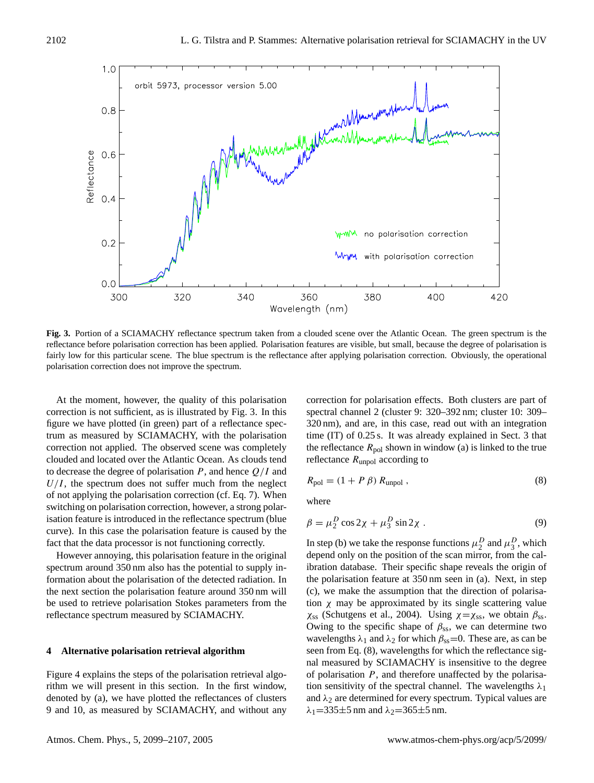

<span id="page-3-1"></span>**Fig. 3.** Portion of a SCIAMACHY reflectance spectrum taken from a clouded scene over the Atlantic Ocean. The green spectrum is the reflectance before polarisation correction has been applied. Polarisation features are visible, but small, because the degree of polarisation is fairly low for this particular scene. The blue spectrum is the reflectance after applying polarisation correction. Obviously, the operational polarisation correction does not improve the spectrum.

At the moment, however, the quality of this polarisation correction is not sufficient, as is illustrated by Fig. [3.](#page-3-1) In this figure we have plotted (in green) part of a reflectance spectrum as measured by SCIAMACHY, with the polarisation correction not applied. The observed scene was completely clouded and located over the Atlantic Ocean. As clouds tend to decrease the degree of polarisation  $P$ , and hence  $Q/I$  and  $U/I$ , the spectrum does not suffer much from the neglect of not applying the polarisation correction (cf. Eq. [7\)](#page-2-3). When switching on polarisation correction, however, a strong polarisation feature is introduced in the reflectance spectrum (blue curve). In this case the polarisation feature is caused by the fact that the data processor is not functioning correctly.

However annoying, this polarisation feature in the original spectrum around 350 nm also has the potential to supply information about the polarisation of the detected radiation. In the next section the polarisation feature around 350 nm will be used to retrieve polarisation Stokes parameters from the reflectance spectrum measured by SCIAMACHY.

#### <span id="page-3-0"></span>**4 Alternative polarisation retrieval algorithm**

Figure [4](#page-4-0) explains the steps of the polarisation retrieval algorithm we will present in this section. In the first window, denoted by (a), we have plotted the reflectances of clusters 9 and 10, as measured by SCIAMACHY, and without any correction for polarisation effects. Both clusters are part of spectral channel 2 (cluster 9: 320–392 nm; cluster 10: 309– 320 nm), and are, in this case, read out with an integration time (IT) of 0.25 s. It was already explained in Sect. [3](#page-2-0) that the reflectance  $R_{\text{pol}}$  shown in window (a) is linked to the true reflectance  $R_{\text{unpol}}$  according to

<span id="page-3-2"></span>
$$
R_{\rm pol} = (1 + P \beta) R_{\rm unpol} , \qquad (8)
$$

where

$$
\beta = \mu_2^D \cos 2\chi + \mu_3^D \sin 2\chi \tag{9}
$$

In step (b) we take the response functions  $\mu_2^D$  and  $\mu_3^D$ , which depend only on the position of the scan mirror, from the calibration database. Their specific shape reveals the origin of the polarisation feature at 350 nm seen in (a). Next, in step (c), we make the assumption that the direction of polarisation  $\chi$  may be approximated by its single scattering value  $\chi_{ss}$  [\(Schutgens et al.,](#page-8-1) [2004\)](#page-8-1). Using  $\chi = \chi_{ss}$ , we obtain  $\beta_{ss}$ . Owing to the specific shape of  $\beta_{ss}$ , we can determine two wavelengths  $\lambda_1$  and  $\lambda_2$  for which  $\beta_{ss}=0$ . These are, as can be seen from Eq. [\(8\)](#page-3-2), wavelengths for which the reflectance signal measured by SCIAMACHY is insensitive to the degree of polarisation  $P$ , and therefore unaffected by the polarisation sensitivity of the spectral channel. The wavelengths  $\lambda_1$ and  $\lambda_2$  are determined for every spectrum. Typical values are  $\lambda_1$ =335±5 nm and  $\lambda_2$ =365±5 nm.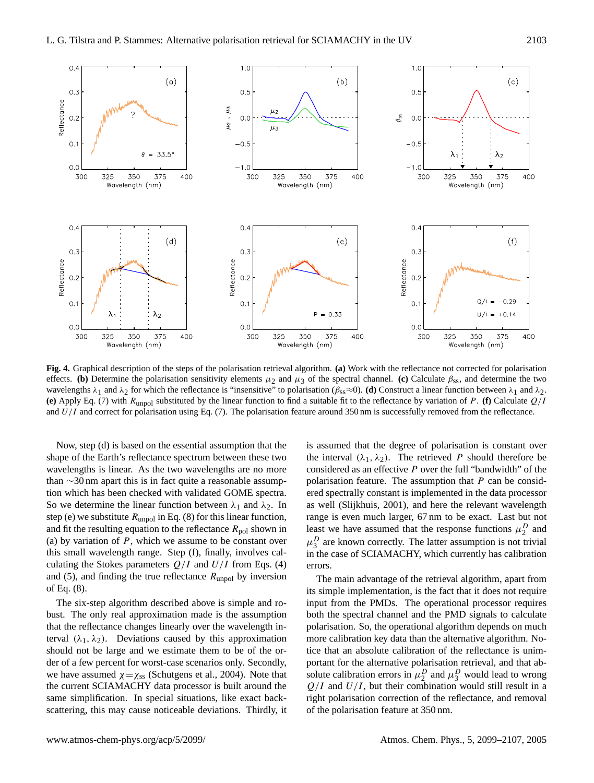

<span id="page-4-0"></span>**Fig. 4.** Graphical description of the steps of the polarisation retrieval algorithm. **(a)** Work with the reflectance not corrected for polarisation effects. **(b)** Determine the polarisation sensitivity elements  $\mu_2$  and  $\mu_3$  of the spectral channel. **(c)** Calculate  $\beta_{ss}$ , and determine the two wavelengths  $\lambda_1$  and  $\lambda_2$  for which the reflectance is "insensitive" to polarisation ( $\beta_{ss} \approx 0$ ). **(d)** Construct a linear function between  $\lambda_1$  and  $\lambda_2$ . **(e)** Apply Eq. [\(7\)](#page-2-3) with Runpol substituted by the linear function to find a suitable fit to the reflectance by variation of P. **(f)** Calculate Q/I and  $U/I$  and correct for polarisation using Eq. [\(7\)](#page-2-3). The polarisation feature around 350 nm is successfully removed from the reflectance.

Now, step (d) is based on the essential assumption that the shape of the Earth's reflectance spectrum between these two wavelengths is linear. As the two wavelengths are no more than ∼30 nm apart this is in fact quite a reasonable assumption which has been checked with validated GOME spectra. So we determine the linear function between  $\lambda_1$  and  $\lambda_2$ . In step (e) we substitute  $R_{\text{unpol}}$  in Eq. [\(8\)](#page-3-2) for this linear function, and fit the resulting equation to the reflectance  $R_{\text{pol}}$  shown in (a) by variation of  $P$ , which we assume to be constant over this small wavelength range. Step (f), finally, involves calculating the Stokes parameters  $Q/I$  and  $U/I$  from Eqs. [\(4\)](#page-2-4) and [\(5\)](#page-2-4), and finding the true reflectance  $R_{\text{unpol}}$  by inversion of Eq. [\(8\)](#page-3-2).

The six-step algorithm described above is simple and robust. The only real approximation made is the assumption that the reflectance changes linearly over the wavelength interval  $(\lambda_1, \lambda_2)$ . Deviations caused by this approximation should not be large and we estimate them to be of the order of a few percent for worst-case scenarios only. Secondly, we have assumed  $\chi = \chi$ <sub>ss</sub> [\(Schutgens et al.,](#page-8-1) [2004\)](#page-8-1). Note that the current SCIAMACHY data processor is built around the same simplification. In special situations, like exact backscattering, this may cause noticeable deviations. Thirdly, it is assumed that the degree of polarisation is constant over the interval  $(\lambda_1, \lambda_2)$ . The retrieved P should therefore be considered as an effective  $P$  over the full "bandwidth" of the polarisation feature. The assumption that  $P$  can be considered spectrally constant is implemented in the data processor as well [\(Slijkhuis,](#page-8-3) [2001\)](#page-8-3), and here the relevant wavelength range is even much larger, 67 nm to be exact. Last but not least we have assumed that the response functions  $\mu_2^D$  and  $\mu_3^D$  are known correctly. The latter assumption is not trivial in the case of SCIAMACHY, which currently has calibration errors.

The main advantage of the retrieval algorithm, apart from its simple implementation, is the fact that it does not require input from the PMDs. The operational processor requires both the spectral channel and the PMD signals to calculate polarisation. So, the operational algorithm depends on much more calibration key data than the alternative algorithm. Notice that an absolute calibration of the reflectance is unimportant for the alternative polarisation retrieval, and that absolute calibration errors in  $\mu_2^D$  and  $\mu_3^D$  would lead to wrong  $Q/I$  and  $U/I$ , but their combination would still result in a right polarisation correction of the reflectance, and removal of the polarisation feature at 350 nm.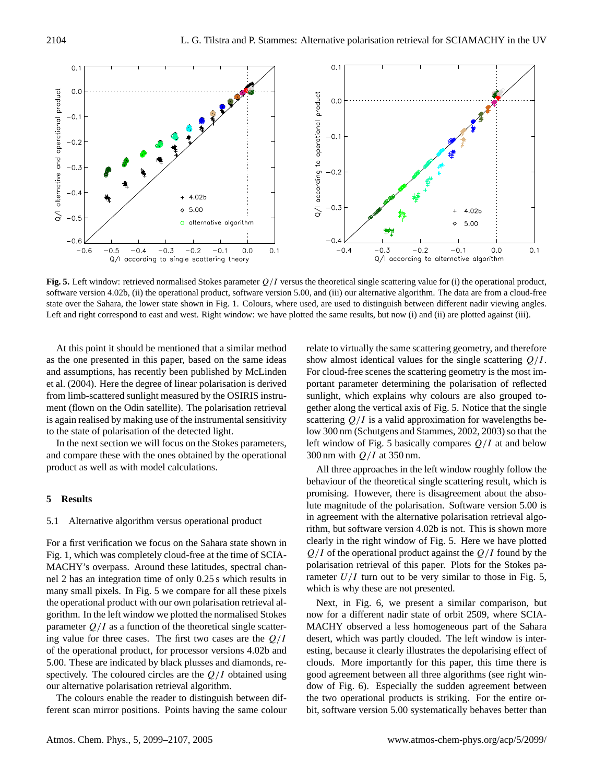

<span id="page-5-1"></span>Fig. 5. Left window: retrieved normalised Stokes parameter  $Q/I$  versus the theoretical single scattering value for (i) the operational product, software version 4.02b, (ii) the operational product, software version 5.00, and (iii) our alternative algorithm. The data are from a cloud-free state over the Sahara, the lower state shown in Fig. [1.](#page-1-0) Colours, where used, are used to distinguish between different nadir viewing angles. Left and right correspond to east and west. Right window: we have plotted the same results, but now (i) and (ii) are plotted against (iii).

At this point it should be mentioned that a similar method as the one presented in this paper, based on the same ideas and assumptions, has recently been published by [McLinden](#page-8-4) [et al.](#page-8-4) [\(2004\)](#page-8-4). Here the degree of linear polarisation is derived from limb-scattered sunlight measured by the OSIRIS instrument (flown on the Odin satellite). The polarisation retrieval is again realised by making use of the instrumental sensitivity to the state of polarisation of the detected light.

In the next section we will focus on the Stokes parameters, and compare these with the ones obtained by the operational product as well as with model calculations.

## <span id="page-5-0"></span>**5 Results**

### 5.1 Alternative algorithm versus operational product

For a first verification we focus on the Sahara state shown in Fig. [1,](#page-1-0) which was completely cloud-free at the time of SCIA-MACHY's overpass. Around these latitudes, spectral channel 2 has an integration time of only 0.25 s which results in many small pixels. In Fig. [5](#page-5-1) we compare for all these pixels the operational product with our own polarisation retrieval algorithm. In the left window we plotted the normalised Stokes parameter  $Q/I$  as a function of the theoretical single scattering value for three cases. The first two cases are the  $Q/I$ of the operational product, for processor versions 4.02b and 5.00. These are indicated by black plusses and diamonds, respectively. The coloured circles are the  $Q/I$  obtained using our alternative polarisation retrieval algorithm.

The colours enable the reader to distinguish between different scan mirror positions. Points having the same colour relate to virtually the same scattering geometry, and therefore show almost identical values for the single scattering  $Q/I$ . For cloud-free scenes the scattering geometry is the most important parameter determining the polarisation of reflected sunlight, which explains why colours are also grouped together along the vertical axis of Fig. [5.](#page-5-1) Notice that the single scattering  $Q/I$  is a valid approximation for wavelengths below 300 nm [\(Schutgens and Stammes,](#page-8-5) [2002,](#page-8-5) [2003\)](#page-8-6) so that the left window of Fig. [5](#page-5-1) basically compares  $Q/I$  at and below 300 nm with  $Q/I$  at 350 nm.

All three approaches in the left window roughly follow the behaviour of the theoretical single scattering result, which is promising. However, there is disagreement about the absolute magnitude of the polarisation. Software version 5.00 is in agreement with the alternative polarisation retrieval algorithm, but software version 4.02b is not. This is shown more clearly in the right window of Fig. [5.](#page-5-1) Here we have plotted  $Q/I$  of the operational product against the  $Q/I$  found by the polarisation retrieval of this paper. Plots for the Stokes parameter  $U/I$  turn out to be very similar to those in Fig. [5,](#page-5-1) which is why these are not presented.

Next, in Fig. [6,](#page-6-0) we present a similar comparison, but now for a different nadir state of orbit 2509, where SCIA-MACHY observed a less homogeneous part of the Sahara desert, which was partly clouded. The left window is interesting, because it clearly illustrates the depolarising effect of clouds. More importantly for this paper, this time there is good agreement between all three algorithms (see right window of Fig. [6\)](#page-6-0). Especially the sudden agreement between the two operational products is striking. For the entire orbit, software version 5.00 systematically behaves better than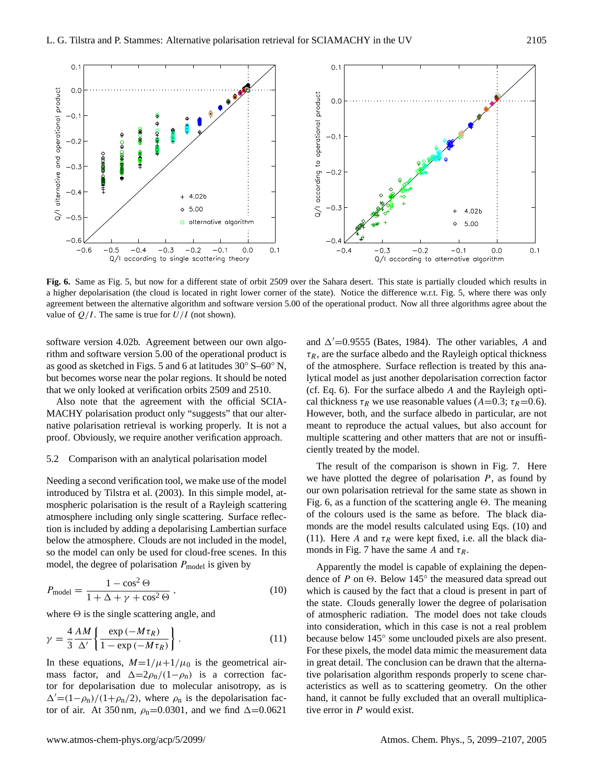

<span id="page-6-0"></span>**Fig. 6.** Same as Fig. [5,](#page-5-1) but now for a different state of orbit 2509 over the Sahara desert. This state is partially clouded which results in a higher depolarisation (the cloud is located in right lower corner of the state). Notice the difference w.r.t. Fig. [5,](#page-5-1) where there was only agreement between the alternative algorithm and software version 5.00 of the operational product. Now all three algorithms agree about the value of  $Q/I$ . The same is true for  $U/I$  (not shown).

software version 4.02b. Agreement between our own algorithm and software version 5.00 of the operational product is as good as sketched in Figs. [5](#page-5-1) and [6](#page-6-0) at latitudes 30◦ S–60◦ N, but becomes worse near the polar regions. It should be noted that we only looked at verification orbits 2509 and 2510.

Also note that the agreement with the official SCIA-MACHY polarisation product only "suggests" that our alternative polarisation retrieval is working properly. It is not a proof. Obviously, we require another verification approach.

#### 5.2 Comparison with an analytical polarisation model

Needing a second verification tool, we make use of the model introduced by [Tilstra et al.](#page-8-2) [\(2003\)](#page-8-2). In this simple model, atmospheric polarisation is the result of a Rayleigh scattering atmosphere including only single scattering. Surface reflection is included by adding a depolarising Lambertian surface below the atmosphere. Clouds are not included in the model, so the model can only be used for cloud-free scenes. In this model, the degree of polarisation  $P_{model}$  is given by

<span id="page-6-1"></span>
$$
P_{\text{model}} = \frac{1 - \cos^2 \Theta}{1 + \Delta + \gamma + \cos^2 \Theta},\tag{10}
$$

where  $\Theta$  is the single scattering angle, and

<span id="page-6-2"></span>
$$
\gamma = \frac{4}{3} \frac{AM}{\Delta'} \left\{ \frac{\exp(-M\tau_R)}{1 - \exp(-M\tau_R)} \right\}.
$$
\n(11)

In these equations,  $M=1/\mu+1/\mu_0$  is the geometrical airmass factor, and  $\Delta=2\rho_n/(1-\rho_n)$  is a correction factor for depolarisation due to molecular anisotropy, as is  $\Delta'=(1-\rho_{\rm n})/(1+\rho_{\rm n}/2)$ , where  $\rho_{\rm n}$  is the depolarisation factor of air. At 350 nm,  $\rho_n=0.0301$ , and we find  $\Delta=0.0621$ 

and  $\Delta'$ =0.9555 [\(Bates,](#page-7-4) [1984\)](#page-7-4). The other variables, A and  $\tau_R$ , are the surface albedo and the Rayleigh optical thickness of the atmosphere. Surface reflection is treated by this analytical model as just another depolarisation correction factor (cf. Eq. [6\)](#page-2-2). For the surface albedo A and the Rayleigh optical thickness  $\tau_R$  we use reasonable values (A=0.3;  $\tau_R$ =0.6). However, both, and the surface albedo in particular, are not meant to reproduce the actual values, but also account for multiple scattering and other matters that are not or insufficiently treated by the model.

The result of the comparison is shown in Fig. [7.](#page-7-6) Here we have plotted the degree of polarisation  $P$ , as found by our own polarisation retrieval for the same state as shown in Fig. [6,](#page-6-0) as a function of the scattering angle  $\Theta$ . The meaning of the colours used is the same as before. The black diamonds are the model results calculated using Eqs. [\(10\)](#page-6-1) and [\(11\)](#page-6-2). Here A and  $\tau_R$  were kept fixed, i.e. all the black dia-monds in Fig. [7](#page-7-6) have the same A and  $\tau_R$ .

Apparently the model is capable of explaining the dependence of P on  $\Theta$ . Below 145 $\degree$  the measured data spread out which is caused by the fact that a cloud is present in part of the state. Clouds generally lower the degree of polarisation of atmospheric radiation. The model does not take clouds into consideration, which in this case is not a real problem because below 145◦ some unclouded pixels are also present. For these pixels, the model data mimic the measurement data in great detail. The conclusion can be drawn that the alternative polarisation algorithm responds properly to scene characteristics as well as to scattering geometry. On the other hand, it cannot be fully excluded that an overall multiplicative error in P would exist.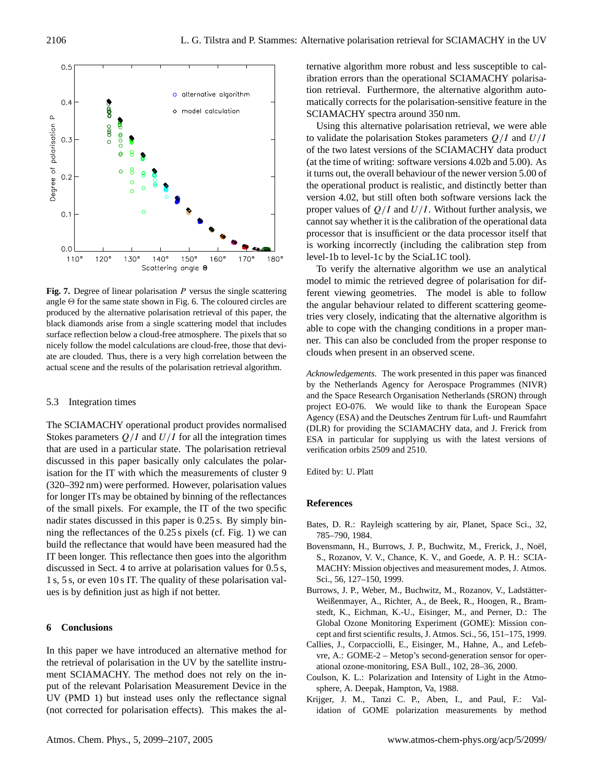

<span id="page-7-6"></span>Fig. 7. Degree of linear polarisation P versus the single scattering angle  $\Theta$  for the same state shown in Fig. [6.](#page-6-0) The coloured circles are produced by the alternative polarisation retrieval of this paper, the black diamonds arise from a single scattering model that includes surface reflection below a cloud-free atmosphere. The pixels that so nicely follow the model calculations are cloud-free, those that deviate are clouded. Thus, there is a very high correlation between the actual scene and the results of the polarisation retrieval algorithm.

#### 5.3 Integration times

The SCIAMACHY operational product provides normalised Stokes parameters  $Q/I$  and  $U/I$  for all the integration times that are used in a particular state. The polarisation retrieval discussed in this paper basically only calculates the polarisation for the IT with which the measurements of cluster 9 (320–392 nm) were performed. However, polarisation values for longer ITs may be obtained by binning of the reflectances of the small pixels. For example, the IT of the two specific nadir states discussed in this paper is 0.25 s. By simply binning the reflectances of the 0.25 s pixels (cf. Fig. [1\)](#page-1-0) we can build the reflectance that would have been measured had the IT been longer. This reflectance then goes into the algorithm discussed in Sect. [4](#page-3-0) to arrive at polarisation values for 0.5 s, 1 s, 5 s, or even 10 s IT. The quality of these polarisation values is by definition just as high if not better.

### **6 Conclusions**

In this paper we have introduced an alternative method for the retrieval of polarisation in the UV by the satellite instrument SCIAMACHY. The method does not rely on the input of the relevant Polarisation Measurement Device in the UV (PMD 1) but instead uses only the reflectance signal (not corrected for polarisation effects). This makes the alternative algorithm more robust and less susceptible to calibration errors than the operational SCIAMACHY polarisation retrieval. Furthermore, the alternative algorithm automatically corrects for the polarisation-sensitive feature in the SCIAMACHY spectra around 350 nm.

Using this alternative polarisation retrieval, we were able to validate the polarisation Stokes parameters  $Q/I$  and  $U/I$ of the two latest versions of the SCIAMACHY data product (at the time of writing: software versions 4.02b and 5.00). As it turns out, the overall behaviour of the newer version 5.00 of the operational product is realistic, and distinctly better than version 4.02, but still often both software versions lack the proper values of  $Q/I$  and  $U/I$ . Without further analysis, we cannot say whether it is the calibration of the operational data processor that is insufficient or the data processor itself that is working incorrectly (including the calibration step from level-1b to level-1c by the SciaL1C tool).

To verify the alternative algorithm we use an analytical model to mimic the retrieved degree of polarisation for different viewing geometries. The model is able to follow the angular behaviour related to different scattering geometries very closely, indicating that the alternative algorithm is able to cope with the changing conditions in a proper manner. This can also be concluded from the proper response to clouds when present in an observed scene.

*Acknowledgements.* The work presented in this paper was financed by the Netherlands Agency for Aerospace Programmes (NIVR) and the Space Research Organisation Netherlands (SRON) through project EO-076. We would like to thank the European Space Agency (ESA) and the Deutsches Zentrum für Luft- und Raumfahrt (DLR) for providing the SCIAMACHY data, and J. Frerick from ESA in particular for supplying us with the latest versions of verification orbits 2509 and 2510.

Edited by: U. Platt

#### **References**

- <span id="page-7-4"></span>Bates, D. R.: Rayleigh scattering by air, Planet, Space Sci., 32, 785–790, 1984.
- <span id="page-7-0"></span>Bovensmann, H., Burrows, J. P., Buchwitz, M., Frerick, J., Noël, S., Rozanov, V. V., Chance, K. V., and Goede, A. P. H.: SCIA-MACHY: Mission objectives and measurement modes, J. Atmos. Sci., 56, 127–150, 1999.
- <span id="page-7-1"></span>Burrows, J. P., Weber, M., Buchwitz, M., Rozanov, V., Ladstätter-Weißenmayer, A., Richter, A., de Beek, R., Hoogen, R., Bramstedt, K., Eichman, K.-U., Eisinger, M., and Perner, D.: The Global Ozone Monitoring Experiment (GOME): Mission concept and first scientific results, J. Atmos. Sci., 56, 151–175, 1999.
- <span id="page-7-2"></span>Callies, J., Corpacciolli, E., Eisinger, M., Hahne, A., and Lefebvre, A.: GOME-2 – Metop's second-generation sensor for operational ozone-monitoring, ESA Bull., 102, 28–36, 2000.
- <span id="page-7-3"></span>Coulson, K. L.: Polarization and Intensity of Light in the Atmosphere, A. Deepak, Hampton, Va, 1988.
- <span id="page-7-5"></span>Krijger, J. M., Tanzi C. P., Aben, I., and Paul, F.: Validation of GOME polarization measurements by method